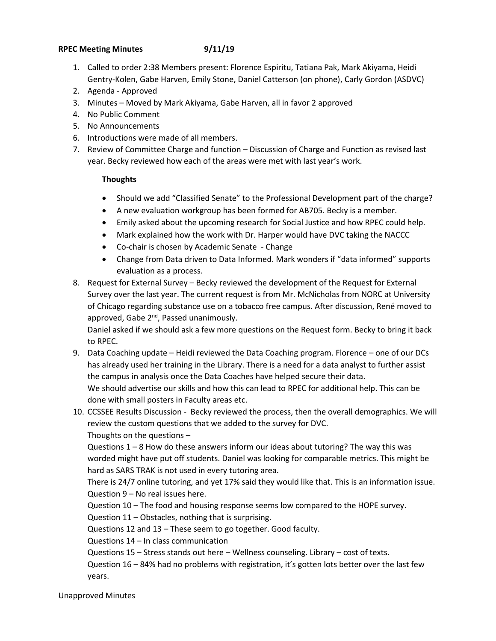## **RPEC Meeting Minutes 9/11/19**

- 1. Called to order 2:38 Members present: Florence Espiritu, Tatiana Pak, Mark Akiyama, Heidi Gentry-Kolen, Gabe Harven, Emily Stone, Daniel Catterson (on phone), Carly Gordon (ASDVC)
- 2. Agenda Approved
- 3. Minutes Moved by Mark Akiyama, Gabe Harven, all in favor 2 approved
- 4. No Public Comment
- 5. No Announcements
- 6. Introductions were made of all members.
- 7. Review of Committee Charge and function Discussion of Charge and Function as revised last year. Becky reviewed how each of the areas were met with last year's work.

## **Thoughts**

- Should we add "Classified Senate" to the Professional Development part of the charge?
- A new evaluation workgroup has been formed for AB705. Becky is a member.
- Emily asked about the upcoming research for Social Justice and how RPEC could help.
- Mark explained how the work with Dr. Harper would have DVC taking the NACCC
- Co-chair is chosen by Academic Senate Change
- Change from Data driven to Data Informed. Mark wonders if "data informed" supports evaluation as a process.
- 8. Request for External Survey Becky reviewed the development of the Request for External Survey over the last year. The current request is from Mr. McNicholas from NORC at University of Chicago regarding substance use on a tobacco free campus. After discussion, René moved to approved, Gabe  $2^{nd}$ , Passed unanimously.

Daniel asked if we should ask a few more questions on the Request form. Becky to bring it back to RPEC.

9. Data Coaching update – Heidi reviewed the Data Coaching program. Florence – one of our DCs has already used her training in the Library. There is a need for a data analyst to further assist the campus in analysis once the Data Coaches have helped secure their data.

We should advertise our skills and how this can lead to RPEC for additional help. This can be done with small posters in Faculty areas etc.

10. CCSSEE Results Discussion - Becky reviewed the process, then the overall demographics. We will review the custom questions that we added to the survey for DVC. Thoughts on the questions –

Questions  $1 - 8$  How do these answers inform our ideas about tutoring? The way this was worded might have put off students. Daniel was looking for comparable metrics. This might be hard as SARS TRAK is not used in every tutoring area.

There is 24/7 online tutoring, and yet 17% said they would like that. This is an information issue. Question 9 – No real issues here.

Question 10 – The food and housing response seems low compared to the HOPE survey.

Question 11 – Obstacles, nothing that is surprising.

Questions 12 and 13 – These seem to go together. Good faculty.

Questions 14 – In class communication

Questions 15 – Stress stands out here – Wellness counseling. Library – cost of texts.

Question 16 – 84% had no problems with registration, it's gotten lots better over the last few years.

## Unapproved Minutes